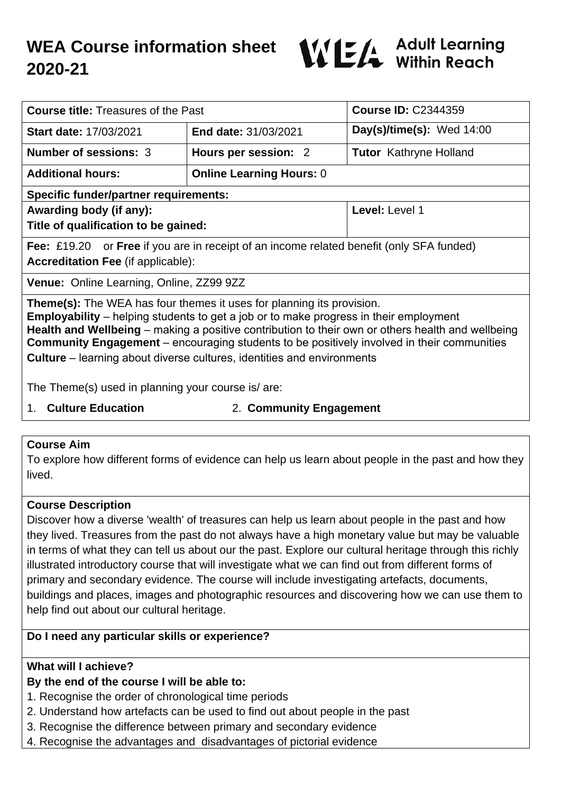# **WEA Course information sheet 2020-21**



| <b>Course title: Treasures of the Past</b>                                                                                                                                                                                                                                                                                                                                                                                                                              |                                 | <b>Course ID: C2344359</b>    |
|-------------------------------------------------------------------------------------------------------------------------------------------------------------------------------------------------------------------------------------------------------------------------------------------------------------------------------------------------------------------------------------------------------------------------------------------------------------------------|---------------------------------|-------------------------------|
| <b>Start date: 17/03/2021</b>                                                                                                                                                                                                                                                                                                                                                                                                                                           | <b>End date: 31/03/2021</b>     | Day(s)/time(s): Wed $14:00$   |
| <b>Number of sessions: 3</b>                                                                                                                                                                                                                                                                                                                                                                                                                                            | Hours per session: 2            | <b>Tutor</b> Kathryne Holland |
| <b>Additional hours:</b>                                                                                                                                                                                                                                                                                                                                                                                                                                                | <b>Online Learning Hours: 0</b> |                               |
| <b>Specific funder/partner requirements:</b>                                                                                                                                                                                                                                                                                                                                                                                                                            |                                 |                               |
| Awarding body (if any):                                                                                                                                                                                                                                                                                                                                                                                                                                                 |                                 | Level: Level 1                |
| Title of qualification to be gained:                                                                                                                                                                                                                                                                                                                                                                                                                                    |                                 |                               |
| Fee: £19.20 or Free if you are in receipt of an income related benefit (only SFA funded)                                                                                                                                                                                                                                                                                                                                                                                |                                 |                               |
| <b>Accreditation Fee (if applicable):</b>                                                                                                                                                                                                                                                                                                                                                                                                                               |                                 |                               |
| Venue: Online Learning, Online, ZZ99 9ZZ                                                                                                                                                                                                                                                                                                                                                                                                                                |                                 |                               |
| <b>Theme(s):</b> The WEA has four themes it uses for planning its provision.<br><b>Employability</b> – helping students to get a job or to make progress in their employment<br>Health and Wellbeing – making a positive contribution to their own or others health and wellbeing<br><b>Community Engagement</b> – encouraging students to be positively involved in their communities<br><b>Culture</b> – learning about diverse cultures, identities and environments |                                 |                               |
| The Theme(s) used in planning your course is/are:                                                                                                                                                                                                                                                                                                                                                                                                                       |                                 |                               |

- 
- 1. **Culture Education** 2. **Community Engagement**

# **Course Aim**

To explore how different forms of evidence can help us learn about people in the past and how they lived.

# **Course Description**

Discover how a diverse 'wealth' of treasures can help us learn about people in the past and how they lived. Treasures from the past do not always have a high monetary value but may be valuable in terms of what they can tell us about our the past. Explore our cultural heritage through this richly illustrated introductory course that will investigate what we can find out from different forms of primary and secondary evidence. The course will include investigating artefacts, documents, buildings and places, images and photographic resources and discovering how we can use them to help find out about our cultural heritage.

# **Do I need any particular skills or experience?**

# **What will I achieve?**

# **By the end of the course I will be able to:**

- 1. Recognise the order of chronological time periods
- 2. Understand how artefacts can be used to find out about people in the past
- 3. Recognise the difference between primary and secondary evidence
- 4. Recognise the advantages and disadvantages of pictorial evidence